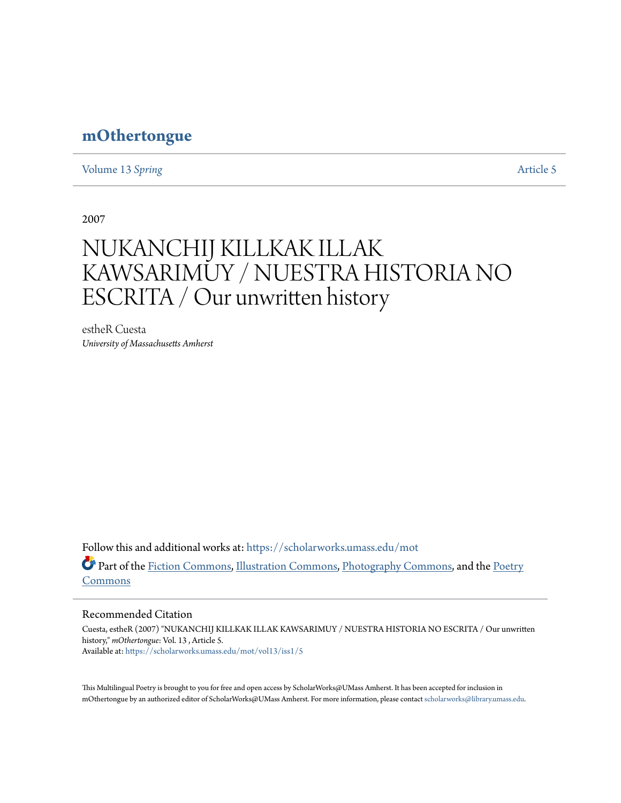# **[mOthertongue](https://scholarworks.umass.edu/mot?utm_source=scholarworks.umass.edu%2Fmot%2Fvol13%2Fiss1%2F5&utm_medium=PDF&utm_campaign=PDFCoverPages)**

[Volume 13](https://scholarworks.umass.edu/mot/vol13?utm_source=scholarworks.umass.edu%2Fmot%2Fvol13%2Fiss1%2F5&utm_medium=PDF&utm_campaign=PDFCoverPages) Spring **[Article 5](https://scholarworks.umass.edu/mot/vol13/iss1/5?utm_source=scholarworks.umass.edu%2Fmot%2Fvol13%2Fiss1%2F5&utm_medium=PDF&utm_campaign=PDFCoverPages)** Article 5

2007

# NUKANCHIJ KILLKAK ILLAK KAWSARIMUY / NUESTRA HISTORIA NO ESCRITA / Our unwritten history

estheR Cuesta *University of Massachusetts Amherst*

Follow this and additional works at: [https://scholarworks.umass.edu/mot](https://scholarworks.umass.edu/mot?utm_source=scholarworks.umass.edu%2Fmot%2Fvol13%2Fiss1%2F5&utm_medium=PDF&utm_campaign=PDFCoverPages) Part of the [Fiction Commons](http://network.bepress.com/hgg/discipline/1151?utm_source=scholarworks.umass.edu%2Fmot%2Fvol13%2Fiss1%2F5&utm_medium=PDF&utm_campaign=PDFCoverPages), [Illustration Commons,](http://network.bepress.com/hgg/discipline/1135?utm_source=scholarworks.umass.edu%2Fmot%2Fvol13%2Fiss1%2F5&utm_medium=PDF&utm_campaign=PDFCoverPages) [Photography Commons,](http://network.bepress.com/hgg/discipline/1142?utm_source=scholarworks.umass.edu%2Fmot%2Fvol13%2Fiss1%2F5&utm_medium=PDF&utm_campaign=PDFCoverPages) and the [Poetry](http://network.bepress.com/hgg/discipline/1153?utm_source=scholarworks.umass.edu%2Fmot%2Fvol13%2Fiss1%2F5&utm_medium=PDF&utm_campaign=PDFCoverPages) [Commons](http://network.bepress.com/hgg/discipline/1153?utm_source=scholarworks.umass.edu%2Fmot%2Fvol13%2Fiss1%2F5&utm_medium=PDF&utm_campaign=PDFCoverPages)

#### Recommended Citation

Cuesta, estheR (2007) "NUKANCHIJ KILLKAK ILLAK KAWSARIMUY / NUESTRA HISTORIA NO ESCRITA / Our unwritten history," *mOthertongue*: Vol. 13 , Article 5. Available at: [https://scholarworks.umass.edu/mot/vol13/iss1/5](https://scholarworks.umass.edu/mot/vol13/iss1/5?utm_source=scholarworks.umass.edu%2Fmot%2Fvol13%2Fiss1%2F5&utm_medium=PDF&utm_campaign=PDFCoverPages)

This Multilingual Poetry is brought to you for free and open access by ScholarWorks@UMass Amherst. It has been accepted for inclusion in mOthertongue by an authorized editor of ScholarWorks@UMass Amherst. For more information, please contact [scholarworks@library.umass.edu](mailto:scholarworks@library.umass.edu).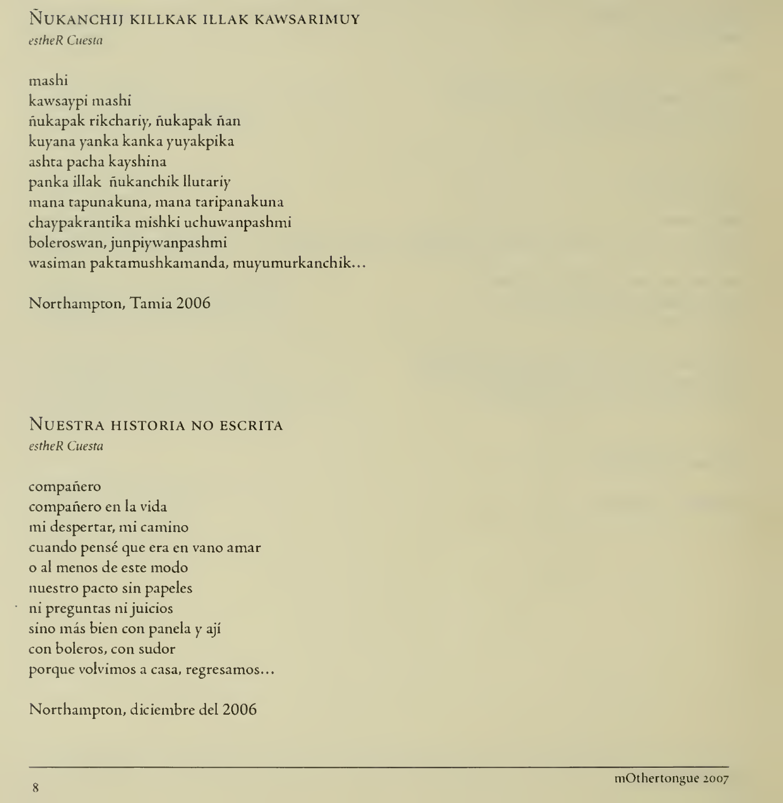## NUKANCHIJ KILLKAK ILLAK KAWSARIMUY

estheR Cuesta

mashi kawsaypi mashi nukapak rikchariy, nukapak nan kuyana yanka kanka yuyakpika ashta pacha kayshina panka illak nukanchik llutariy mana tapunakuna, inana taripanakuna chaypakrantika mishki uchuwanpashmi boleroswan, junpiywanpashmi wasiman paktamushkamanda, muyumurkanchik...

Northampton, Tamia 2006

#### NUESTRA HISTORIA NO ESCRITA estheR Cuesta

companero companero en la vida mi despertar, mi camino cuando pensé que era en vano amar o al menos de este modo nuestro pacto sin papeles ni preguntas ni juicios sino más bien con panela y ají **ha** con boleros, con sudor porque volvimos a casa, regresamos...

Northampton, diciembre del 2006